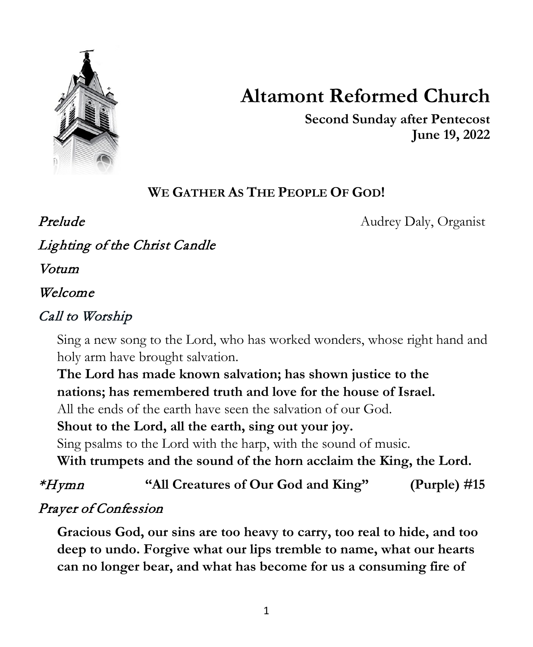

# **Altamont Reformed Church**

**Second Sunday after Pentecost June 19, 2022**

# **WE GATHER AS THE PEOPLE OF GOD!**

**Prelude** Audrey Daly, Organist

Lighting of the Christ Candle

Votum

#### Welcome

## Call to Worship

Sing a new song to the Lord, who has worked wonders, whose right hand and holy arm have brought salvation.

**The Lord has made known salvation; has shown justice to the nations; has remembered truth and love for the house of Israel.**

All the ends of the earth have seen the salvation of our God.

**Shout to the Lord, all the earth, sing out your joy.**

Sing psalms to the Lord with the harp, with the sound of music.

**With trumpets and the sound of the horn acclaim the King, the Lord.**

# \*Hymn **"All Creatures of Our God and King" (Purple) #15**

# Prayer of Confession

**Gracious God, our sins are too heavy to carry, too real to hide, and too deep to undo. Forgive what our lips tremble to name, what our hearts can no longer bear, and what has become for us a consuming fire of**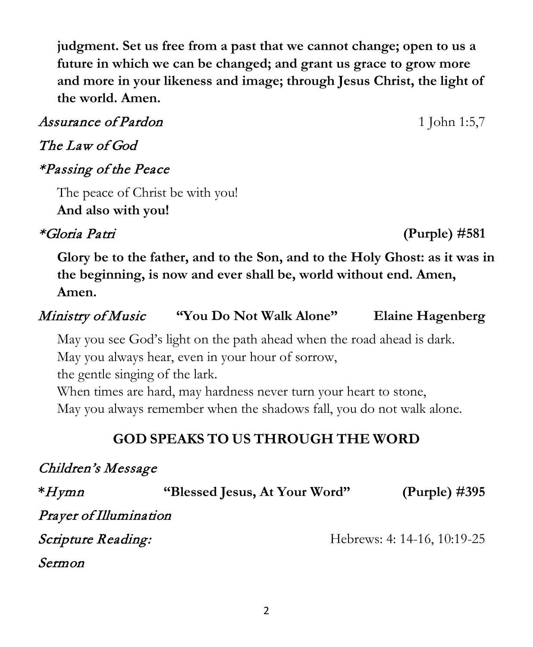2

**judgment. Set us free from a past that we cannot change; open to us a future in which we can be changed; and grant us grace to grow more and more in your likeness and image; through Jesus Christ, the light of the world. Amen.**

### Assurance of Pardon 1 John 1:5,7

#### The Law of God

### \*Passing of the Peace

The peace of Christ be with you! **And also with you!**

## \*Gloria Patri **(Purple) #581**

**Glory be to the father, and to the Son, and to the Holy Ghost: as it was in the beginning, is now and ever shall be, world without end. Amen, Amen.**

#### Ministry of Music **"You Do Not Walk Alone" Elaine Hagenberg**

May you see God's light on the path ahead when the road ahead is dark.

May you always hear, even in your hour of sorrow,

the gentle singing of the lark.

When times are hard, may hardness never turn your heart to stone,

May you always remember when the shadows fall, you do not walk alone.

# **GOD SPEAKS TO US THROUGH THE WORD**

### Children's Message

| $*H$ ymn                         | "Blessed Jesus, At Your Word" | (Purple) $\#395$            |
|----------------------------------|-------------------------------|-----------------------------|
| Prayer of Illumination           |                               |                             |
| <i><b>Scripture Reading:</b></i> |                               | Hebrews: 4: 14-16, 10:19-25 |
| Sermon                           |                               |                             |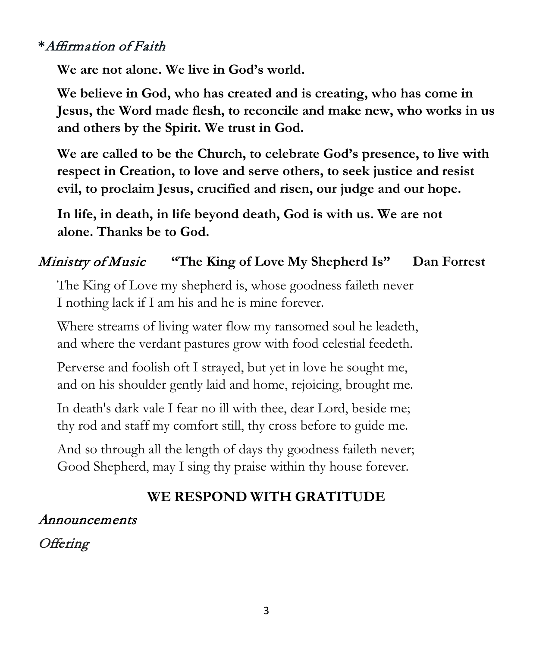#### **\***Affirmation of Faith

**We are not alone. We live in God's world.**

**We believe in God, who has created and is creating, who has come in Jesus, the Word made flesh, to reconcile and make new, who works in us and others by the Spirit. We trust in God.**

**We are called to be the Church, to celebrate God's presence, to live with respect in Creation, to love and serve others, to seek justice and resist evil, to proclaim Jesus, crucified and risen, our judge and our hope.**

**In life, in death, in life beyond death, God is with us. We are not alone. Thanks be to God.**

#### Ministry of Music **"The King of Love My Shepherd Is" Dan Forrest**

The King of Love my shepherd is, whose goodness faileth never I nothing lack if I am his and he is mine forever.

Where streams of living water flow my ransomed soul he leadeth, and where the verdant pastures grow with food celestial feedeth.

Perverse and foolish oft I strayed, but yet in love he sought me, and on his shoulder gently laid and home, rejoicing, brought me.

In death's dark vale I fear no ill with thee, dear Lord, beside me; thy rod and staff my comfort still, thy cross before to guide me.

And so through all the length of days thy goodness faileth never; Good Shepherd, may I sing thy praise within thy house forever.

#### **WE RESPOND WITH GRATITUDE**

#### Announcements

# **Offering**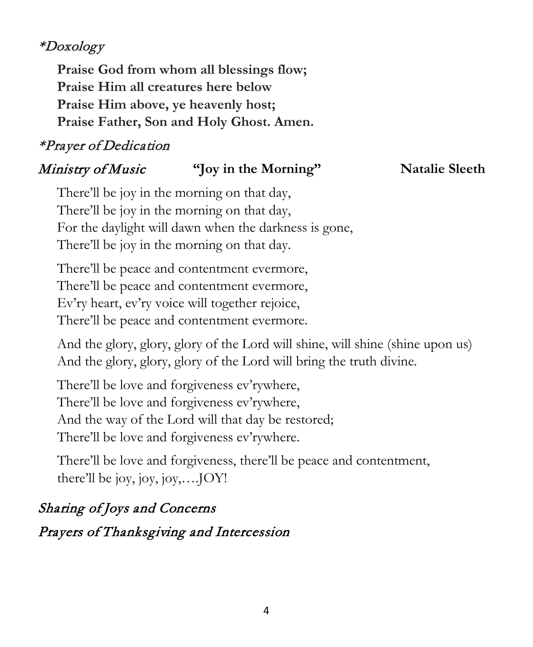## \*Doxology

**Praise God from whom all blessings flow; Praise Him all creatures here below Praise Him above, ye heavenly host; Praise Father, Son and Holy Ghost. Amen.**

## \*Prayer of Dedication

#### Ministry of Music **"Joy in the Morning" Natalie Sleeth**

There'll be joy in the morning on that day, There'll be joy in the morning on that day, For the daylight will dawn when the darkness is gone, There'll be joy in the morning on that day.

There'll be peace and contentment evermore, There'll be peace and contentment evermore, Ev'ry heart, ev'ry voice will together rejoice, There'll be peace and contentment evermore.

And the glory, glory, glory of the Lord will shine, will shine (shine upon us) And the glory, glory, glory of the Lord will bring the truth divine.

There'll be love and forgiveness ev'rywhere, There'll be love and forgiveness ev'rywhere, And the way of the Lord will that day be restored; There'll be love and forgiveness ev'rywhere.

There'll be love and forgiveness, there'll be peace and contentment, there'll be joy, joy,  $j$ oy,.... $JOY!$ 

# Sharing of Joys and Concerns

# Prayers of Thanksgiving and Intercession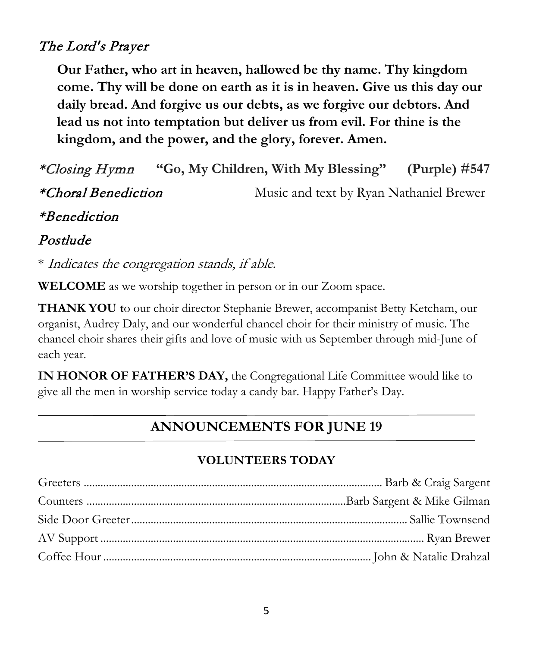#### The Lord's Prayer

**Our Father, who art in heaven, hallowed be thy name. Thy kingdom come. Thy will be done on earth as it is in heaven. Give us this day our daily bread. And forgive us our debts, as we forgive our debtors. And lead us not into temptation but deliver us from evil. For thine is the kingdom, and the power, and the glory, forever. Amen.**

\*Closing Hymn **"Go, My Children, With My Blessing" (Purple) #547** \*Choral Benediction Music and text by Ryan Nathaniel Brewer \*Benediction

Postlude

\* Indicates the congregation stands, if able.

**WELCOME** as we worship together in person or in our Zoom space.

**THANK YOU t**o our choir director Stephanie Brewer, accompanist Betty Ketcham, our organist, Audrey Daly, and our wonderful chancel choir for their ministry of music. The chancel choir shares their gifts and love of music with us September through mid-June of each year.

**IN HONOR OF FATHER'S DAY,** the Congregational Life Committee would like to give all the men in worship service today a candy bar. Happy Father's Day.

#### **ANNOUNCEMENTS FOR JUNE 19**

#### **VOLUNTEERS TODAY**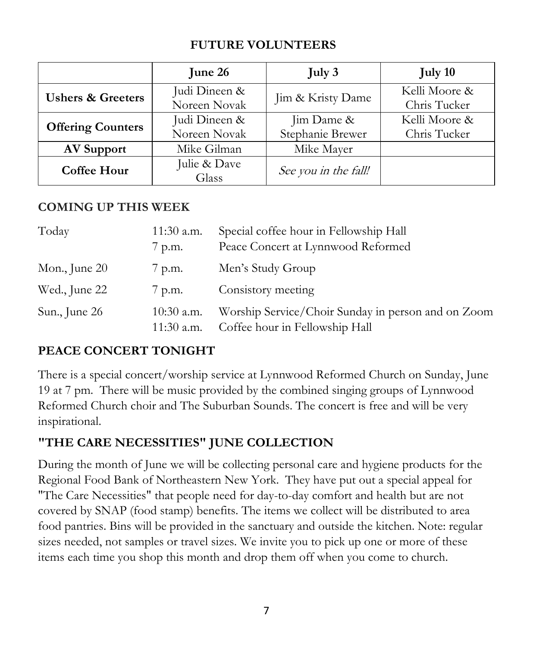#### **FUTURE VOLUNTEERS**

|                              | June 26                       | July 3                         | July 10                       |
|------------------------------|-------------------------------|--------------------------------|-------------------------------|
| <b>Ushers &amp; Greeters</b> | Judi Dineen &<br>Noreen Novak | Jim & Kristy Dame              | Kelli Moore &<br>Chris Tucker |
| <b>Offering Counters</b>     | Judi Dineen &<br>Noreen Novak | Jim Dame &<br>Stephanie Brewer | Kelli Moore &<br>Chris Tucker |
| <b>AV Support</b>            | Mike Gilman                   | Mike Mayer                     |                               |
| <b>Coffee Hour</b>           | Julie & Dave<br>Glass         | See you in the fall!           |                               |

#### **COMING UP THIS WEEK**

| Today           | $11:30$ a.m.<br>7 p.m.     | Special coffee hour in Fellowship Hall<br>Peace Concert at Lynnwood Reformed         |
|-----------------|----------------------------|--------------------------------------------------------------------------------------|
| Mon., June $20$ | $\gamma$ p.m.              | Men's Study Group                                                                    |
| Wed., June 22   | 7 p.m.                     | Consistory meeting                                                                   |
| Sun., June 26   | $10:30$ a.m.<br>11:30 a.m. | Worship Service/Choir Sunday in person and on Zoom<br>Coffee hour in Fellowship Hall |

#### **PEACE CONCERT TONIGHT**

There is a special concert/worship service at Lynnwood Reformed Church on Sunday, June 19 at 7 pm. There will be music provided by the combined singing groups of Lynnwood Reformed Church choir and The Suburban Sounds. The concert is free and will be very inspirational.

#### **"THE CARE NECESSITIES" JUNE COLLECTION**

During the month of June we will be collecting personal care and hygiene products for the Regional Food Bank of Northeastern New York. They have put out a special appeal for "The Care Necessities" that people need for day-to-day comfort and health but are not covered by SNAP (food stamp) benefits. The items we collect will be distributed to area food pantries. Bins will be provided in the sanctuary and outside the kitchen. Note: regular sizes needed, not samples or travel sizes. We invite you to pick up one or more of these items each time you shop this month and drop them off when you come to church.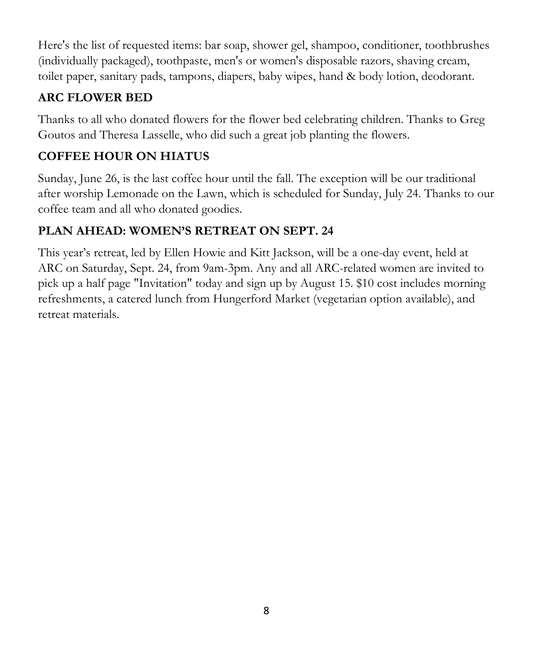Here's the list of requested items: bar soap, shower gel, shampoo, conditioner, toothbrushes (individually packaged), toothpaste, men's or women's disposable razors, shaving cream, toilet paper, sanitary pads, tampons, diapers, baby wipes, hand & body lotion, deodorant.

#### **ARC FLOWER BED**

Thanks to all who donated flowers for the flower bed celebrating children. Thanks to Greg Goutos and Theresa Lasselle, who did such a great job planting the flowers.

#### **COFFEE HOUR ON HIATUS**

Sunday, June 26, is the last coffee hour until the fall. The exception will be our traditional after worship Lemonade on the Lawn, which is scheduled for Sunday, July 24. Thanks to our coffee team and all who donated goodies.

#### **PLAN AHEAD: WOMEN'S RETREAT ON SEPT. 24**

This year's retreat, led by Ellen Howie and Kitt Jackson, will be a one-day event, held at ARC on Saturday, Sept. 24, from 9am-3pm. Any and all ARC-related women are invited to pick up a half page "Invitation" today and sign up by August 15. \$10 cost includes morning refreshments, a catered lunch from Hungerford Market (vegetarian option available), and retreat materials.